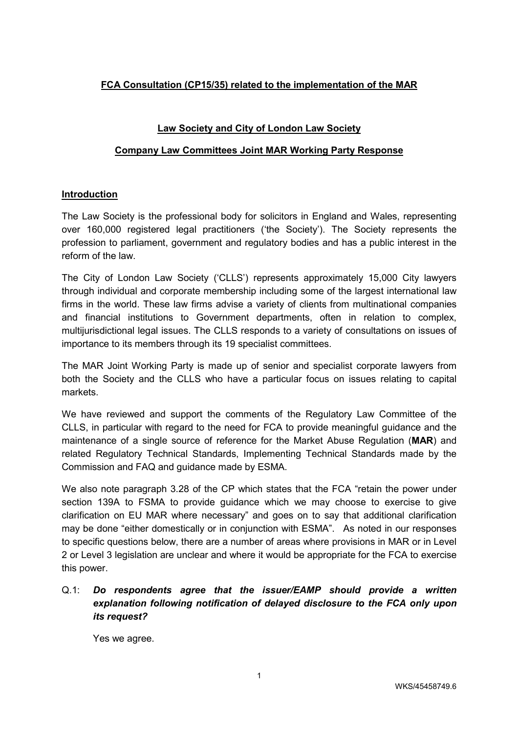## **FCA Consultation (CP15/35) related to the implementation of the MAR**

#### **Law Society and City of London Law Society**

#### **Company Law Committees Joint MAR Working Party Response**

#### **Introduction**

The Law Society is the professional body for solicitors in England and Wales, representing over 160,000 registered legal practitioners ('the Society'). The Society represents the profession to parliament, government and regulatory bodies and has a public interest in the reform of the law.

The City of London Law Society ('CLLS') represents approximately 15,000 City lawyers through individual and corporate membership including some of the largest international law firms in the world. These law firms advise a variety of clients from multinational companies and financial institutions to Government departments, often in relation to complex, multijurisdictional legal issues. The CLLS responds to a variety of consultations on issues of importance to its members through its 19 specialist committees.

The MAR Joint Working Party is made up of senior and specialist corporate lawyers from both the Society and the CLLS who have a particular focus on issues relating to capital markets.

We have reviewed and support the comments of the Regulatory Law Committee of the CLLS, in particular with regard to the need for FCA to provide meaningful guidance and the maintenance of a single source of reference for the Market Abuse Regulation (**MAR**) and related Regulatory Technical Standards, Implementing Technical Standards made by the Commission and FAQ and guidance made by ESMA.

We also note paragraph 3.28 of the CP which states that the FCA "retain the power under section 139A to FSMA to provide guidance which we may choose to exercise to give clarification on EU MAR where necessary" and goes on to say that additional clarification may be done "either domestically or in conjunction with ESMA". As noted in our responses to specific questions below, there are a number of areas where provisions in MAR or in Level 2 or Level 3 legislation are unclear and where it would be appropriate for the FCA to exercise this power.

# Q.1: *Do respondents agree that the issuer/EAMP should provide a written explanation following notification of delayed disclosure to the FCA only upon its request?*

Yes we agree.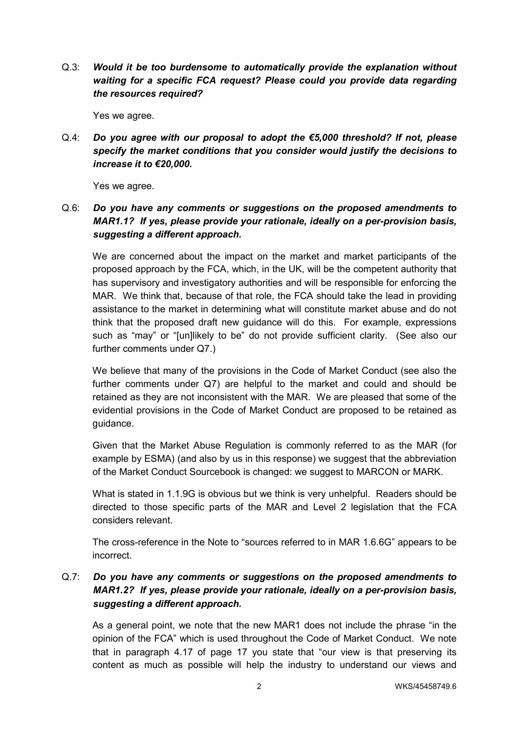Q.3: *Would it be too burdensome to automatically provide the explanation without waiting for a specific FCA request? Please could you provide data regarding the resources required?*

Yes we agree.

Q.4: *Do you agree with our proposal to adopt the €5,000 threshold? If not, please specify the market conditions that you consider would justify the decisions to increase it to €20,000.*

Yes we agree.

# Q.6: *Do you have any comments or suggestions on the proposed amendments to MAR1.1? If yes, please provide your rationale, ideally on a per-provision basis, suggesting a different approach.*

We are concerned about the impact on the market and market participants of the proposed approach by the FCA, which, in the UK, will be the competent authority that has supervisory and investigatory authorities and will be responsible for enforcing the MAR. We think that, because of that role, the FCA should take the lead in providing assistance to the market in determining what will constitute market abuse and do not think that the proposed draft new guidance will do this. For example, expressions such as "may" or "[un]likely to be" do not provide sufficient clarity. (See also our further comments under Q7.)

We believe that many of the provisions in the Code of Market Conduct (see also the further comments under Q7) are helpful to the market and could and should be retained as they are not inconsistent with the MAR. We are pleased that some of the evidential provisions in the Code of Market Conduct are proposed to be retained as guidance.

Given that the Market Abuse Regulation is commonly referred to as the MAR (for example by ESMA) (and also by us in this response) we suggest that the abbreviation of the Market Conduct Sourcebook is changed: we suggest to MARCON or MARK.

What is stated in 1.1.9G is obvious but we think is very unhelpful. Readers should be directed to those specific parts of the MAR and Level 2 legislation that the FCA considers relevant.

The cross-reference in the Note to "sources referred to in MAR 1.6.6G" appears to be incorrect.

## Q.7: *Do you have any comments or suggestions on the proposed amendments to MAR1.2? If yes, please provide your rationale, ideally on a per-provision basis, suggesting a different approach.*

As a general point, we note that the new MAR1 does not include the phrase "in the opinion of the FCA" which is used throughout the Code of Market Conduct. We note that in paragraph 4.17 of page 17 you state that "our view is that preserving its content as much as possible will help the industry to understand our views and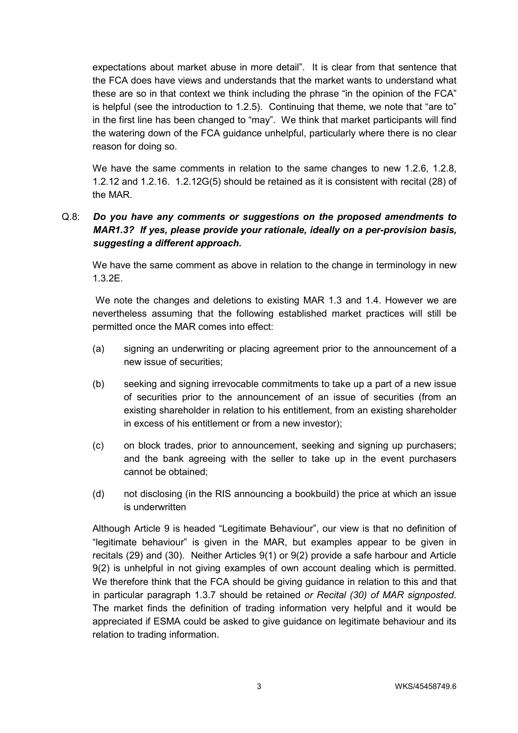expectations about market abuse in more detail". It is clear from that sentence that the FCA does have views and understands that the market wants to understand what these are so in that context we think including the phrase "in the opinion of the FCA" is helpful (see the introduction to 1.2.5). Continuing that theme, we note that "are to" in the first line has been changed to "may". We think that market participants will find the watering down of the FCA guidance unhelpful, particularly where there is no clear reason for doing so.

We have the same comments in relation to the same changes to new 1.2.6, 1.2.8, 1.2.12 and 1.2.16. 1.2.12G(5) should be retained as it is consistent with recital (28) of the MAR.

# Q.8: *Do you have any comments or suggestions on the proposed amendments to MAR1.3? If yes, please provide your rationale, ideally on a per-provision basis, suggesting a different approach.*

We have the same comment as above in relation to the change in terminology in new 1.3.2E.

 We note the changes and deletions to existing MAR 1.3 and 1.4. However we are nevertheless assuming that the following established market practices will still be permitted once the MAR comes into effect:

- (a) signing an underwriting or placing agreement prior to the announcement of a new issue of securities;
- (b) seeking and signing irrevocable commitments to take up a part of a new issue of securities prior to the announcement of an issue of securities (from an existing shareholder in relation to his entitlement, from an existing shareholder in excess of his entitlement or from a new investor);
- (c) on block trades, prior to announcement, seeking and signing up purchasers; and the bank agreeing with the seller to take up in the event purchasers cannot be obtained;
- (d) not disclosing (in the RIS announcing a bookbuild) the price at which an issue is underwritten

Although Article 9 is headed "Legitimate Behaviour", our view is that no definition of "legitimate behaviour" is given in the MAR, but examples appear to be given in recitals (29) and (30). Neither Articles 9(1) or 9(2) provide a safe harbour and Article 9(2) is unhelpful in not giving examples of own account dealing which is permitted. We therefore think that the FCA should be giving guidance in relation to this and that in particular paragraph 1.3.7 should be retained *or Recital (30) of MAR signposted*. The market finds the definition of trading information very helpful and it would be appreciated if ESMA could be asked to give guidance on legitimate behaviour and its relation to trading information.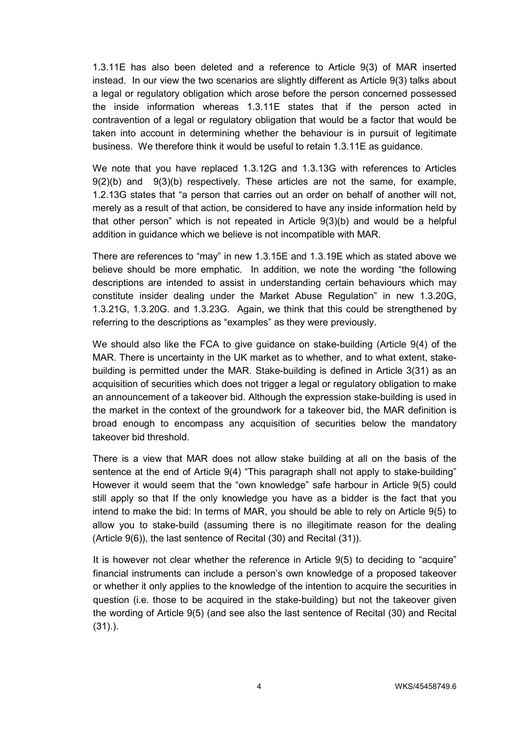1.3.11E has also been deleted and a reference to Article 9(3) of MAR inserted instead. In our view the two scenarios are slightly different as Article 9(3) talks about a legal or regulatory obligation which arose before the person concerned possessed the inside information whereas 1.3.11E states that if the person acted in contravention of a legal or regulatory obligation that would be a factor that would be taken into account in determining whether the behaviour is in pursuit of legitimate business. We therefore think it would be useful to retain 1.3.11E as guidance.

We note that you have replaced 1.3.12G and 1.3.13G with references to Articles 9(2)(b) and 9(3)(b) respectively. These articles are not the same, for example, 1.2.13G states that "a person that carries out an order on behalf of another will not, merely as a result of that action, be considered to have any inside information held by that other person" which is not repeated in Article 9(3)(b) and would be a helpful addition in guidance which we believe is not incompatible with MAR.

There are references to "may" in new 1.3.15E and 1.3.19E which as stated above we believe should be more emphatic. In addition, we note the wording "the following descriptions are intended to assist in understanding certain behaviours which may constitute insider dealing under the Market Abuse Regulation" in new 1.3.20G, 1.3.21G, 1.3.20G. and 1.3.23G. Again, we think that this could be strengthened by referring to the descriptions as "examples" as they were previously.

We should also like the FCA to give guidance on stake-building (Article 9(4) of the MAR. There is uncertainty in the UK market as to whether, and to what extent, stakebuilding is permitted under the MAR. Stake-building is defined in Article 3(31) as an acquisition of securities which does not trigger a legal or regulatory obligation to make an announcement of a takeover bid. Although the expression stake-building is used in the market in the context of the groundwork for a takeover bid, the MAR definition is broad enough to encompass any acquisition of securities below the mandatory takeover bid threshold.

There is a view that MAR does not allow stake building at all on the basis of the sentence at the end of Article 9(4) "This paragraph shall not apply to stake-building" However it would seem that the "own knowledge" safe harbour in Article 9(5) could still apply so that If the only knowledge you have as a bidder is the fact that you intend to make the bid: In terms of MAR, you should be able to rely on Article 9(5) to allow you to stake-build (assuming there is no illegitimate reason for the dealing (Article 9(6)), the last sentence of Recital (30) and Recital (31)).

It is however not clear whether the reference in Article 9(5) to deciding to "acquire" financial instruments can include a person's own knowledge of a proposed takeover or whether it only applies to the knowledge of the intention to acquire the securities in question (i.e. those to be acquired in the stake-building) but not the takeover given the wording of Article 9(5) (and see also the last sentence of Recital (30) and Recital (31).).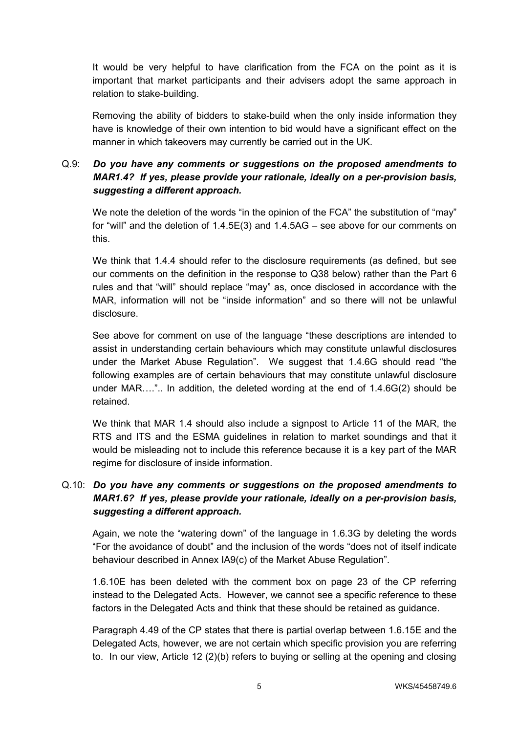It would be very helpful to have clarification from the FCA on the point as it is important that market participants and their advisers adopt the same approach in relation to stake-building.

Removing the ability of bidders to stake-build when the only inside information they have is knowledge of their own intention to bid would have a significant effect on the manner in which takeovers may currently be carried out in the UK.

## Q.9: *Do you have any comments or suggestions on the proposed amendments to MAR1.4? If yes, please provide your rationale, ideally on a per-provision basis, suggesting a different approach.*

We note the deletion of the words "in the opinion of the FCA" the substitution of "may" for "will" and the deletion of 1.4.5E(3) and 1.4.5AG – see above for our comments on this.

We think that 1.4.4 should refer to the disclosure requirements (as defined, but see our comments on the definition in the response to Q38 below) rather than the Part 6 rules and that "will" should replace "may" as, once disclosed in accordance with the MAR, information will not be "inside information" and so there will not be unlawful disclosure.

See above for comment on use of the language "these descriptions are intended to assist in understanding certain behaviours which may constitute unlawful disclosures under the Market Abuse Regulation". We suggest that 1.4.6G should read "the following examples are of certain behaviours that may constitute unlawful disclosure under MAR….".. In addition, the deleted wording at the end of 1.4.6G(2) should be retained.

We think that MAR 1.4 should also include a signpost to Article 11 of the MAR, the RTS and ITS and the ESMA guidelines in relation to market soundings and that it would be misleading not to include this reference because it is a key part of the MAR regime for disclosure of inside information.

## Q.10: *Do you have any comments or suggestions on the proposed amendments to MAR1.6? If yes, please provide your rationale, ideally on a per-provision basis, suggesting a different approach.*

Again, we note the "watering down" of the language in 1.6.3G by deleting the words "For the avoidance of doubt" and the inclusion of the words "does not of itself indicate behaviour described in Annex IA9(c) of the Market Abuse Regulation".

1.6.10E has been deleted with the comment box on page 23 of the CP referring instead to the Delegated Acts. However, we cannot see a specific reference to these factors in the Delegated Acts and think that these should be retained as guidance.

Paragraph 4.49 of the CP states that there is partial overlap between 1.6.15E and the Delegated Acts, however, we are not certain which specific provision you are referring to. In our view, Article 12 (2)(b) refers to buying or selling at the opening and closing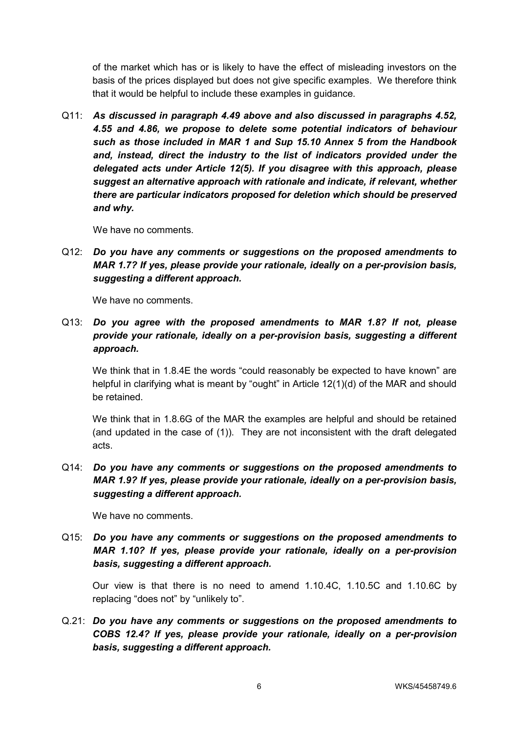of the market which has or is likely to have the effect of misleading investors on the basis of the prices displayed but does not give specific examples. We therefore think that it would be helpful to include these examples in guidance.

Q11: *As discussed in paragraph 4.49 above and also discussed in paragraphs 4.52, 4.55 and 4.86, we propose to delete some potential indicators of behaviour such as those included in MAR 1 and Sup 15.10 Annex 5 from the Handbook*  and, instead, direct the industry to the list of indicators provided under the *delegated acts under Article 12(5). If you disagree with this approach, please suggest an alternative approach with rationale and indicate, if relevant, whether there are particular indicators proposed for deletion which should be preserved and why.* 

We have no comments.

Q12: *Do you have any comments or suggestions on the proposed amendments to MAR 1.7? If yes, please provide your rationale, ideally on a per-provision basis, suggesting a different approach.* 

We have no comments.

Q13: *Do you agree with the proposed amendments to MAR 1.8? If not, please provide your rationale, ideally on a per-provision basis, suggesting a different approach.* 

We think that in 1.8.4E the words "could reasonably be expected to have known" are helpful in clarifying what is meant by "ought" in Article 12(1)(d) of the MAR and should be retained.

We think that in 1.8.6G of the MAR the examples are helpful and should be retained (and updated in the case of (1)). They are not inconsistent with the draft delegated acts.

Q14: *Do you have any comments or suggestions on the proposed amendments to MAR 1.9? If yes, please provide your rationale, ideally on a per-provision basis, suggesting a different approach.* 

We have no comments.

Q15: *Do you have any comments or suggestions on the proposed amendments to MAR 1.10? If yes, please provide your rationale, ideally on a per-provision basis, suggesting a different approach.* 

Our view is that there is no need to amend 1.10.4C, 1.10.5C and 1.10.6C by replacing "does not" by "unlikely to".

Q.21: *Do you have any comments or suggestions on the proposed amendments to COBS 12.4? If yes, please provide your rationale, ideally on a per-provision basis, suggesting a different approach.*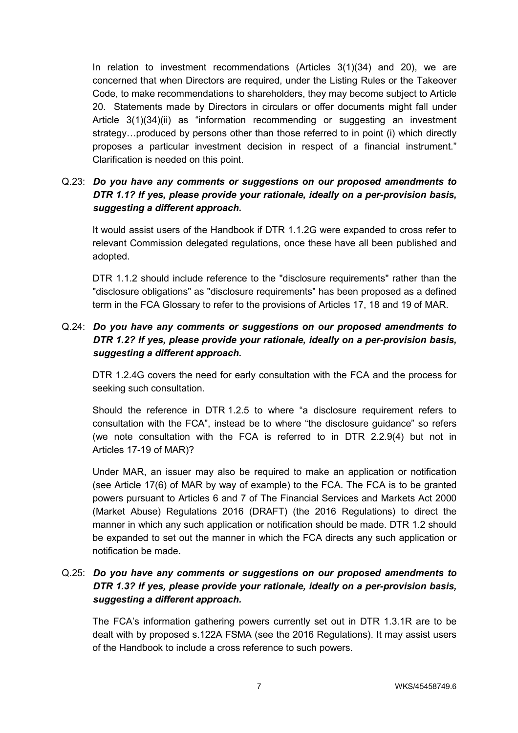In relation to investment recommendations (Articles 3(1)(34) and 20), we are concerned that when Directors are required, under the Listing Rules or the Takeover Code, to make recommendations to shareholders, they may become subject to Article 20. Statements made by Directors in circulars or offer documents might fall under Article 3(1)(34)(ii) as "information recommending or suggesting an investment strategy…produced by persons other than those referred to in point (i) which directly proposes a particular investment decision in respect of a financial instrument." Clarification is needed on this point.

# Q.23: *Do you have any comments or suggestions on our proposed amendments to DTR 1.1? If yes, please provide your rationale, ideally on a per-provision basis, suggesting a different approach.*

It would assist users of the Handbook if DTR 1.1.2G were expanded to cross refer to relevant Commission delegated regulations, once these have all been published and adopted.

DTR 1.1.2 should include reference to the "disclosure requirements" rather than the "disclosure obligations" as "disclosure requirements" has been proposed as a defined term in the FCA Glossary to refer to the provisions of Articles 17, 18 and 19 of MAR.

## Q.24: *Do you have any comments or suggestions on our proposed amendments to DTR 1.2? If yes, please provide your rationale, ideally on a per-provision basis, suggesting a different approach.*

DTR 1.2.4G covers the need for early consultation with the FCA and the process for seeking such consultation.

Should the reference in DTR 1.2.5 to where "a disclosure requirement refers to consultation with the FCA", instead be to where "the disclosure guidance" so refers (we note consultation with the FCA is referred to in DTR 2.2.9(4) but not in Articles 17-19 of MAR)?

Under MAR, an issuer may also be required to make an application or notification (see Article 17(6) of MAR by way of example) to the FCA. The FCA is to be granted powers pursuant to Articles 6 and 7 of The Financial Services and Markets Act 2000 (Market Abuse) Regulations 2016 (DRAFT) (the 2016 Regulations) to direct the manner in which any such application or notification should be made. DTR 1.2 should be expanded to set out the manner in which the FCA directs any such application or notification be made.

# Q.25: *Do you have any comments or suggestions on our proposed amendments to DTR 1.3? If yes, please provide your rationale, ideally on a per-provision basis, suggesting a different approach.*

The FCA's information gathering powers currently set out in DTR 1.3.1R are to be dealt with by proposed s.122A FSMA (see the 2016 Regulations). It may assist users of the Handbook to include a cross reference to such powers.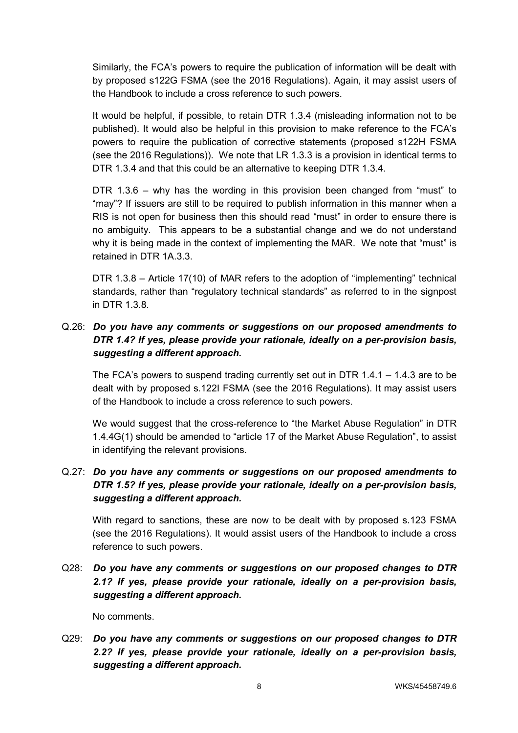Similarly, the FCA's powers to require the publication of information will be dealt with by proposed s122G FSMA (see the 2016 Regulations). Again, it may assist users of the Handbook to include a cross reference to such powers.

It would be helpful, if possible, to retain DTR 1.3.4 (misleading information not to be published). It would also be helpful in this provision to make reference to the FCA's powers to require the publication of corrective statements (proposed s122H FSMA (see the 2016 Regulations)). We note that LR 1.3.3 is a provision in identical terms to DTR 1.3.4 and that this could be an alternative to keeping DTR 1.3.4.

DTR 1.3.6 – why has the wording in this provision been changed from "must" to "may"? If issuers are still to be required to publish information in this manner when a RIS is not open for business then this should read "must" in order to ensure there is no ambiguity. This appears to be a substantial change and we do not understand why it is being made in the context of implementing the MAR. We note that "must" is retained in DTR 1A 3.3.

DTR 1.3.8 – Article 17(10) of MAR refers to the adoption of "implementing" technical standards, rather than "regulatory technical standards" as referred to in the signpost in DTR 1.3.8.

## Q.26: *Do you have any comments or suggestions on our proposed amendments to DTR 1.4? If yes, please provide your rationale, ideally on a per-provision basis, suggesting a different approach.*

The FCA's powers to suspend trading currently set out in DTR 1.4.1 – 1.4.3 are to be dealt with by proposed s.122I FSMA (see the 2016 Regulations). It may assist users of the Handbook to include a cross reference to such powers.

We would suggest that the cross-reference to "the Market Abuse Regulation" in DTR 1.4.4G(1) should be amended to "article 17 of the Market Abuse Regulation", to assist in identifying the relevant provisions.

### Q.27: *Do you have any comments or suggestions on our proposed amendments to DTR 1.5? If yes, please provide your rationale, ideally on a per-provision basis, suggesting a different approach.*

With regard to sanctions, these are now to be dealt with by proposed s.123 FSMA (see the 2016 Regulations). It would assist users of the Handbook to include a cross reference to such powers.

Q28: *Do you have any comments or suggestions on our proposed changes to DTR 2.1? If yes, please provide your rationale, ideally on a per-provision basis, suggesting a different approach.* 

No comments.

Q29: *Do you have any comments or suggestions on our proposed changes to DTR 2.2? If yes, please provide your rationale, ideally on a per-provision basis, suggesting a different approach.*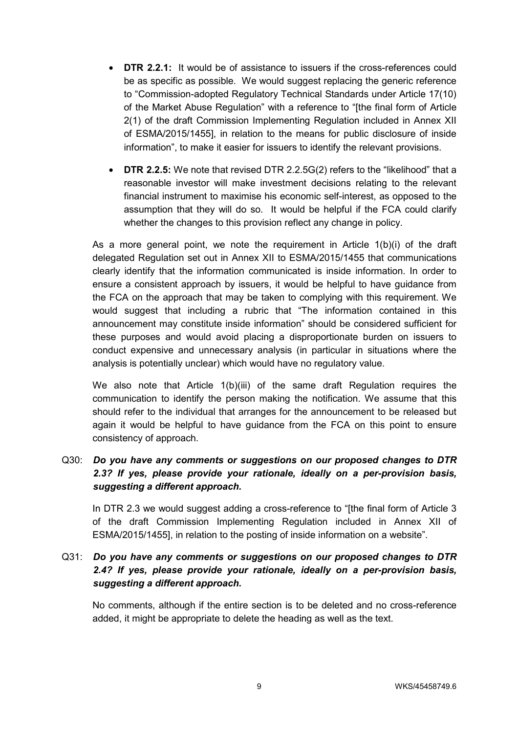- **DTR 2.2.1:** It would be of assistance to issuers if the cross-references could be as specific as possible. We would suggest replacing the generic reference to "Commission-adopted Regulatory Technical Standards under Article 17(10) of the Market Abuse Regulation" with a reference to "[the final form of Article 2(1) of the draft Commission Implementing Regulation included in Annex XII of ESMA/2015/1455], in relation to the means for public disclosure of inside information", to make it easier for issuers to identify the relevant provisions.
- **DTR 2.2.5:** We note that revised DTR 2.2.5G(2) refers to the "likelihood" that a reasonable investor will make investment decisions relating to the relevant financial instrument to maximise his economic self-interest, as opposed to the assumption that they will do so. It would be helpful if the FCA could clarify whether the changes to this provision reflect any change in policy.

As a more general point, we note the requirement in Article 1(b)(i) of the draft delegated Regulation set out in Annex XII to ESMA/2015/1455 that communications clearly identify that the information communicated is inside information. In order to ensure a consistent approach by issuers, it would be helpful to have guidance from the FCA on the approach that may be taken to complying with this requirement. We would suggest that including a rubric that "The information contained in this announcement may constitute inside information" should be considered sufficient for these purposes and would avoid placing a disproportionate burden on issuers to conduct expensive and unnecessary analysis (in particular in situations where the analysis is potentially unclear) which would have no regulatory value.

We also note that Article 1(b)(iii) of the same draft Regulation requires the communication to identify the person making the notification. We assume that this should refer to the individual that arranges for the announcement to be released but again it would be helpful to have guidance from the FCA on this point to ensure consistency of approach.

## Q30: *Do you have any comments or suggestions on our proposed changes to DTR 2.3? If yes, please provide your rationale, ideally on a per-provision basis, suggesting a different approach.*

In DTR 2.3 we would suggest adding a cross-reference to "[the final form of Article 3 of the draft Commission Implementing Regulation included in Annex XII of ESMA/2015/1455], in relation to the posting of inside information on a website".

# Q31: *Do you have any comments or suggestions on our proposed changes to DTR 2.4? If yes, please provide your rationale, ideally on a per-provision basis, suggesting a different approach.*

No comments, although if the entire section is to be deleted and no cross-reference added, it might be appropriate to delete the heading as well as the text.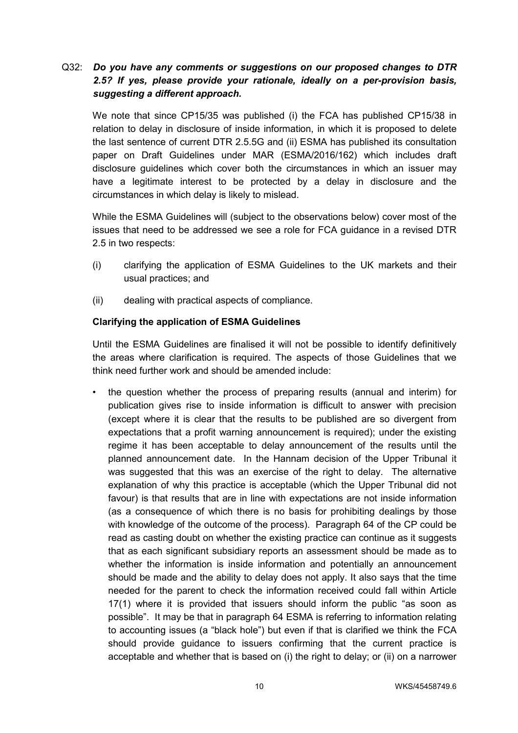## Q32: *Do you have any comments or suggestions on our proposed changes to DTR 2.5? If yes, please provide your rationale, ideally on a per-provision basis, suggesting a different approach.*

We note that since CP15/35 was published (i) the FCA has published CP15/38 in relation to delay in disclosure of inside information, in which it is proposed to delete the last sentence of current DTR 2.5.5G and (ii) ESMA has published its consultation paper on Draft Guidelines under MAR (ESMA/2016/162) which includes draft disclosure guidelines which cover both the circumstances in which an issuer may have a legitimate interest to be protected by a delay in disclosure and the circumstances in which delay is likely to mislead.

While the ESMA Guidelines will (subject to the observations below) cover most of the issues that need to be addressed we see a role for FCA guidance in a revised DTR 2.5 in two respects:

- (i) clarifying the application of ESMA Guidelines to the UK markets and their usual practices; and
- (ii) dealing with practical aspects of compliance.

#### **Clarifying the application of ESMA Guidelines**

Until the ESMA Guidelines are finalised it will not be possible to identify definitively the areas where clarification is required. The aspects of those Guidelines that we think need further work and should be amended include:

• the question whether the process of preparing results (annual and interim) for publication gives rise to inside information is difficult to answer with precision (except where it is clear that the results to be published are so divergent from expectations that a profit warning announcement is required); under the existing regime it has been acceptable to delay announcement of the results until the planned announcement date. In the Hannam decision of the Upper Tribunal it was suggested that this was an exercise of the right to delay. The alternative explanation of why this practice is acceptable (which the Upper Tribunal did not favour) is that results that are in line with expectations are not inside information (as a consequence of which there is no basis for prohibiting dealings by those with knowledge of the outcome of the process). Paragraph 64 of the CP could be read as casting doubt on whether the existing practice can continue as it suggests that as each significant subsidiary reports an assessment should be made as to whether the information is inside information and potentially an announcement should be made and the ability to delay does not apply. It also says that the time needed for the parent to check the information received could fall within Article 17(1) where it is provided that issuers should inform the public "as soon as possible". It may be that in paragraph 64 ESMA is referring to information relating to accounting issues (a "black hole") but even if that is clarified we think the FCA should provide guidance to issuers confirming that the current practice is acceptable and whether that is based on (i) the right to delay; or (ii) on a narrower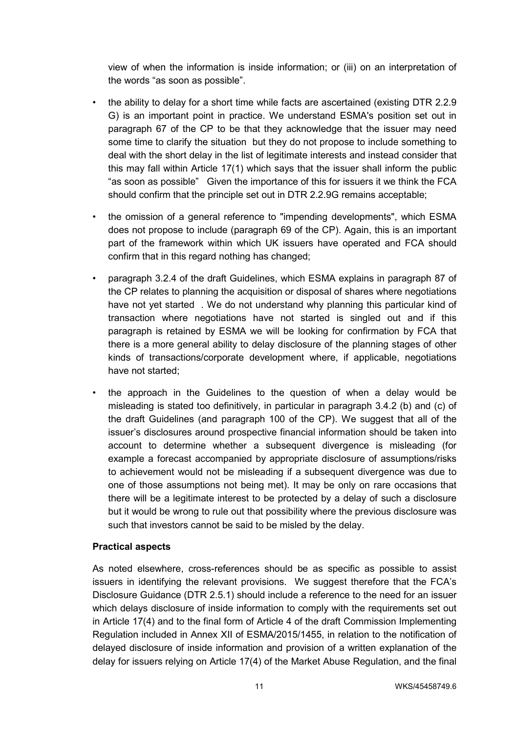view of when the information is inside information; or (iii) on an interpretation of the words "as soon as possible".

- the ability to delay for a short time while facts are ascertained (existing DTR 2.2.9) G) is an important point in practice. We understand ESMA's position set out in paragraph 67 of the CP to be that they acknowledge that the issuer may need some time to clarify the situation but they do not propose to include something to deal with the short delay in the list of legitimate interests and instead consider that this may fall within Article 17(1) which says that the issuer shall inform the public "as soon as possible" Given the importance of this for issuers it we think the FCA should confirm that the principle set out in DTR 2.2.9G remains acceptable;
- the omission of a general reference to "impending developments", which ESMA does not propose to include (paragraph 69 of the CP). Again, this is an important part of the framework within which UK issuers have operated and FCA should confirm that in this regard nothing has changed;
- paragraph 3.2.4 of the draft Guidelines, which ESMA explains in paragraph 87 of the CP relates to planning the acquisition or disposal of shares where negotiations have not yet started . We do not understand why planning this particular kind of transaction where negotiations have not started is singled out and if this paragraph is retained by ESMA we will be looking for confirmation by FCA that there is a more general ability to delay disclosure of the planning stages of other kinds of transactions/corporate development where, if applicable, negotiations have not started;
- the approach in the Guidelines to the question of when a delay would be misleading is stated too definitively, in particular in paragraph 3.4.2 (b) and (c) of the draft Guidelines (and paragraph 100 of the CP). We suggest that all of the issuer's disclosures around prospective financial information should be taken into account to determine whether a subsequent divergence is misleading (for example a forecast accompanied by appropriate disclosure of assumptions/risks to achievement would not be misleading if a subsequent divergence was due to one of those assumptions not being met). It may be only on rare occasions that there will be a legitimate interest to be protected by a delay of such a disclosure but it would be wrong to rule out that possibility where the previous disclosure was such that investors cannot be said to be misled by the delay.

### **Practical aspects**

As noted elsewhere, cross-references should be as specific as possible to assist issuers in identifying the relevant provisions. We suggest therefore that the FCA's Disclosure Guidance (DTR 2.5.1) should include a reference to the need for an issuer which delays disclosure of inside information to comply with the requirements set out in Article 17(4) and to the final form of Article 4 of the draft Commission Implementing Regulation included in Annex XII of ESMA/2015/1455, in relation to the notification of delayed disclosure of inside information and provision of a written explanation of the delay for issuers relying on Article 17(4) of the Market Abuse Regulation, and the final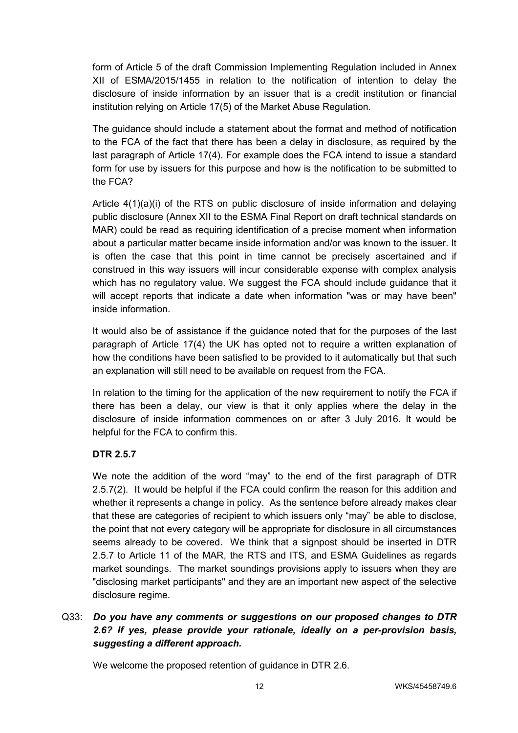form of Article 5 of the draft Commission Implementing Regulation included in Annex XII of ESMA/2015/1455 in relation to the notification of intention to delay the disclosure of inside information by an issuer that is a credit institution or financial institution relying on Article 17(5) of the Market Abuse Regulation.

The guidance should include a statement about the format and method of notification to the FCA of the fact that there has been a delay in disclosure, as required by the last paragraph of Article 17(4). For example does the FCA intend to issue a standard form for use by issuers for this purpose and how is the notification to be submitted to the FCA?

Article 4(1)(a)(i) of the RTS on public disclosure of inside information and delaying public disclosure (Annex XII to the ESMA Final Report on draft technical standards on MAR) could be read as requiring identification of a precise moment when information about a particular matter became inside information and/or was known to the issuer. It is often the case that this point in time cannot be precisely ascertained and if construed in this way issuers will incur considerable expense with complex analysis which has no regulatory value. We suggest the FCA should include guidance that it will accept reports that indicate a date when information "was or may have been" inside information.

It would also be of assistance if the guidance noted that for the purposes of the last paragraph of Article 17(4) the UK has opted not to require a written explanation of how the conditions have been satisfied to be provided to it automatically but that such an explanation will still need to be available on request from the FCA.

In relation to the timing for the application of the new requirement to notify the FCA if there has been a delay, our view is that it only applies where the delay in the disclosure of inside information commences on or after 3 July 2016. It would be helpful for the FCA to confirm this.

### **DTR 2.5.7**

We note the addition of the word "may" to the end of the first paragraph of DTR 2.5.7(2). It would be helpful if the FCA could confirm the reason for this addition and whether it represents a change in policy. As the sentence before already makes clear that these are categories of recipient to which issuers only "may" be able to disclose, the point that not every category will be appropriate for disclosure in all circumstances seems already to be covered. We think that a signpost should be inserted in DTR 2.5.7 to Article 11 of the MAR, the RTS and ITS, and ESMA Guidelines as regards market soundings. The market soundings provisions apply to issuers when they are "disclosing market participants" and they are an important new aspect of the selective disclosure regime.

## Q33: *Do you have any comments or suggestions on our proposed changes to DTR 2.6? If yes, please provide your rationale, ideally on a per-provision basis, suggesting a different approach.*

We welcome the proposed retention of guidance in DTR 2.6.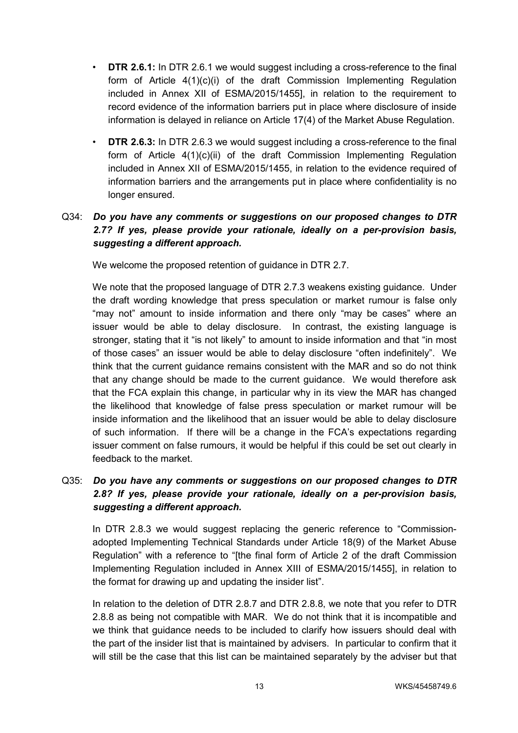- **DTR 2.6.1:** In DTR 2.6.1 we would suggest including a cross-reference to the final form of Article 4(1)(c)(i) of the draft Commission Implementing Regulation included in Annex XII of ESMA/2015/1455], in relation to the requirement to record evidence of the information barriers put in place where disclosure of inside information is delayed in reliance on Article 17(4) of the Market Abuse Regulation.
- **DTR 2.6.3:** In DTR 2.6.3 we would suggest including a cross-reference to the final form of Article 4(1)(c)(ii) of the draft Commission Implementing Regulation included in Annex XII of ESMA/2015/1455, in relation to the evidence required of information barriers and the arrangements put in place where confidentiality is no longer ensured.

# Q34: *Do you have any comments or suggestions on our proposed changes to DTR 2.7? If yes, please provide your rationale, ideally on a per-provision basis, suggesting a different approach.*

We welcome the proposed retention of quidance in DTR 2.7.

We note that the proposed language of DTR 2.7.3 weakens existing guidance. Under the draft wording knowledge that press speculation or market rumour is false only "may not" amount to inside information and there only "may be cases" where an issuer would be able to delay disclosure. In contrast, the existing language is stronger, stating that it "is not likely" to amount to inside information and that "in most of those cases" an issuer would be able to delay disclosure "often indefinitely". We think that the current guidance remains consistent with the MAR and so do not think that any change should be made to the current guidance. We would therefore ask that the FCA explain this change, in particular why in its view the MAR has changed the likelihood that knowledge of false press speculation or market rumour will be inside information and the likelihood that an issuer would be able to delay disclosure of such information. If there will be a change in the FCA's expectations regarding issuer comment on false rumours, it would be helpful if this could be set out clearly in feedback to the market.

# Q35: *Do you have any comments or suggestions on our proposed changes to DTR 2.8? If yes, please provide your rationale, ideally on a per-provision basis, suggesting a different approach.*

In DTR 2.8.3 we would suggest replacing the generic reference to "Commissionadopted Implementing Technical Standards under Article 18(9) of the Market Abuse Regulation" with a reference to "[the final form of Article 2 of the draft Commission Implementing Regulation included in Annex XIII of ESMA/2015/1455], in relation to the format for drawing up and updating the insider list".

In relation to the deletion of DTR 2.8.7 and DTR 2.8.8, we note that you refer to DTR 2.8.8 as being not compatible with MAR. We do not think that it is incompatible and we think that guidance needs to be included to clarify how issuers should deal with the part of the insider list that is maintained by advisers. In particular to confirm that it will still be the case that this list can be maintained separately by the adviser but that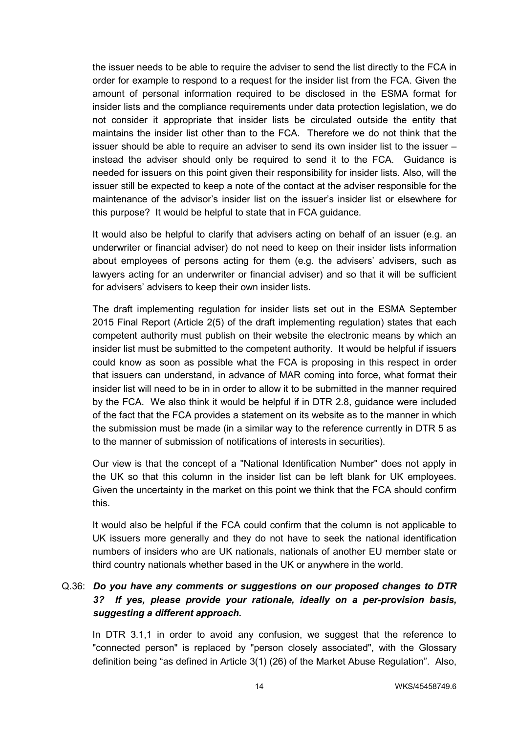the issuer needs to be able to require the adviser to send the list directly to the FCA in order for example to respond to a request for the insider list from the FCA. Given the amount of personal information required to be disclosed in the ESMA format for insider lists and the compliance requirements under data protection legislation, we do not consider it appropriate that insider lists be circulated outside the entity that maintains the insider list other than to the FCA. Therefore we do not think that the issuer should be able to require an adviser to send its own insider list to the issuer – instead the adviser should only be required to send it to the FCA. Guidance is needed for issuers on this point given their responsibility for insider lists. Also, will the issuer still be expected to keep a note of the contact at the adviser responsible for the maintenance of the advisor's insider list on the issuer's insider list or elsewhere for this purpose? It would be helpful to state that in FCA guidance.

It would also be helpful to clarify that advisers acting on behalf of an issuer (e.g. an underwriter or financial adviser) do not need to keep on their insider lists information about employees of persons acting for them (e.g. the advisers' advisers, such as lawyers acting for an underwriter or financial adviser) and so that it will be sufficient for advisers' advisers to keep their own insider lists.

The draft implementing regulation for insider lists set out in the ESMA September 2015 Final Report (Article 2(5) of the draft implementing regulation) states that each competent authority must publish on their website the electronic means by which an insider list must be submitted to the competent authority. It would be helpful if issuers could know as soon as possible what the FCA is proposing in this respect in order that issuers can understand, in advance of MAR coming into force, what format their insider list will need to be in in order to allow it to be submitted in the manner required by the FCA. We also think it would be helpful if in DTR 2.8, guidance were included of the fact that the FCA provides a statement on its website as to the manner in which the submission must be made (in a similar way to the reference currently in DTR 5 as to the manner of submission of notifications of interests in securities).

Our view is that the concept of a "National Identification Number" does not apply in the UK so that this column in the insider list can be left blank for UK employees. Given the uncertainty in the market on this point we think that the FCA should confirm this.

It would also be helpful if the FCA could confirm that the column is not applicable to UK issuers more generally and they do not have to seek the national identification numbers of insiders who are UK nationals, nationals of another EU member state or third country nationals whether based in the UK or anywhere in the world.

# Q.36: *Do you have any comments or suggestions on our proposed changes to DTR 3? If yes, please provide your rationale, ideally on a per-provision basis, suggesting a different approach.*

In DTR 3.1,1 in order to avoid any confusion, we suggest that the reference to "connected person" is replaced by "person closely associated", with the Glossary definition being "as defined in Article 3(1) (26) of the Market Abuse Regulation". Also,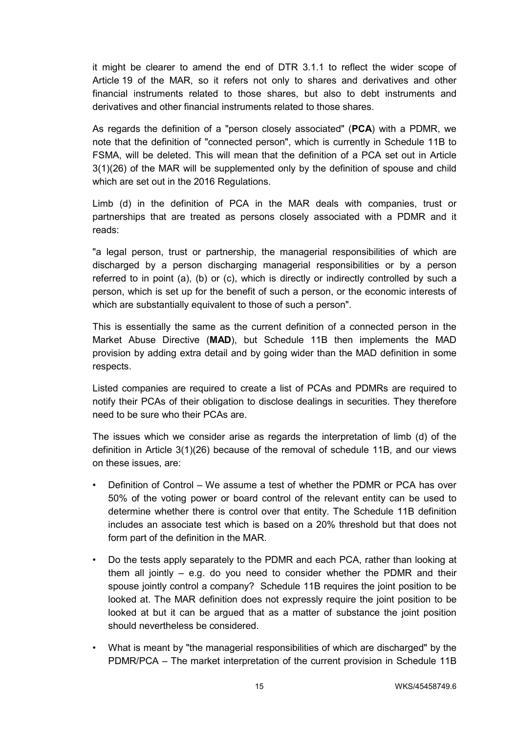it might be clearer to amend the end of DTR 3.1.1 to reflect the wider scope of Article 19 of the MAR, so it refers not only to shares and derivatives and other financial instruments related to those shares, but also to debt instruments and derivatives and other financial instruments related to those shares.

As regards the definition of a "person closely associated" (**PCA**) with a PDMR, we note that the definition of "connected person", which is currently in Schedule 11B to FSMA, will be deleted. This will mean that the definition of a PCA set out in Article 3(1)(26) of the MAR will be supplemented only by the definition of spouse and child which are set out in the 2016 Regulations.

Limb (d) in the definition of PCA in the MAR deals with companies, trust or partnerships that are treated as persons closely associated with a PDMR and it reads:

"a legal person, trust or partnership, the managerial responsibilities of which are discharged by a person discharging managerial responsibilities or by a person referred to in point (a), (b) or (c), which is directly or indirectly controlled by such a person, which is set up for the benefit of such a person, or the economic interests of which are substantially equivalent to those of such a person".

This is essentially the same as the current definition of a connected person in the Market Abuse Directive (**MAD**), but Schedule 11B then implements the MAD provision by adding extra detail and by going wider than the MAD definition in some respects.

Listed companies are required to create a list of PCAs and PDMRs are required to notify their PCAs of their obligation to disclose dealings in securities. They therefore need to be sure who their PCAs are.

The issues which we consider arise as regards the interpretation of limb (d) of the definition in Article 3(1)(26) because of the removal of schedule 11B, and our views on these issues, are:

- Definition of Control We assume a test of whether the PDMR or PCA has over 50% of the voting power or board control of the relevant entity can be used to determine whether there is control over that entity. The Schedule 11B definition includes an associate test which is based on a 20% threshold but that does not form part of the definition in the MAR.
- Do the tests apply separately to the PDMR and each PCA, rather than looking at them all jointly  $-$  e.g. do you need to consider whether the PDMR and their spouse jointly control a company? Schedule 11B requires the joint position to be looked at. The MAR definition does not expressly require the joint position to be looked at but it can be argued that as a matter of substance the joint position should nevertheless be considered.
- What is meant by "the managerial responsibilities of which are discharged" by the PDMR/PCA – The market interpretation of the current provision in Schedule 11B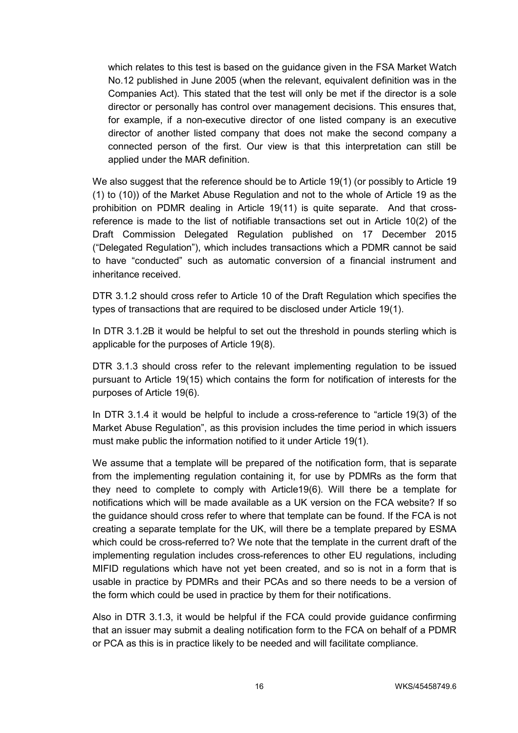which relates to this test is based on the guidance given in the FSA Market Watch No.12 published in June 2005 (when the relevant, equivalent definition was in the Companies Act). This stated that the test will only be met if the director is a sole director or personally has control over management decisions. This ensures that, for example, if a non-executive director of one listed company is an executive director of another listed company that does not make the second company a connected person of the first. Our view is that this interpretation can still be applied under the MAR definition.

We also suggest that the reference should be to Article 19(1) (or possibly to Article 19 (1) to (10)) of the Market Abuse Regulation and not to the whole of Article 19 as the prohibition on PDMR dealing in Article 19(11) is quite separate. And that crossreference is made to the list of notifiable transactions set out in Article 10(2) of the Draft Commission Delegated Regulation published on 17 December 2015 ("Delegated Regulation"), which includes transactions which a PDMR cannot be said to have "conducted" such as automatic conversion of a financial instrument and inheritance received.

DTR 3.1.2 should cross refer to Article 10 of the Draft Regulation which specifies the types of transactions that are required to be disclosed under Article 19(1).

In DTR 3.1.2B it would be helpful to set out the threshold in pounds sterling which is applicable for the purposes of Article 19(8).

DTR 3.1.3 should cross refer to the relevant implementing regulation to be issued pursuant to Article 19(15) which contains the form for notification of interests for the purposes of Article 19(6).

In DTR 3.1.4 it would be helpful to include a cross-reference to "article 19(3) of the Market Abuse Regulation", as this provision includes the time period in which issuers must make public the information notified to it under Article 19(1).

We assume that a template will be prepared of the notification form, that is separate from the implementing regulation containing it, for use by PDMRs as the form that they need to complete to comply with Article19(6). Will there be a template for notifications which will be made available as a UK version on the FCA website? If so the guidance should cross refer to where that template can be found. If the FCA is not creating a separate template for the UK, will there be a template prepared by ESMA which could be cross-referred to? We note that the template in the current draft of the implementing regulation includes cross-references to other EU regulations, including MIFID regulations which have not yet been created, and so is not in a form that is usable in practice by PDMRs and their PCAs and so there needs to be a version of the form which could be used in practice by them for their notifications.

Also in DTR 3.1.3, it would be helpful if the FCA could provide guidance confirming that an issuer may submit a dealing notification form to the FCA on behalf of a PDMR or PCA as this is in practice likely to be needed and will facilitate compliance.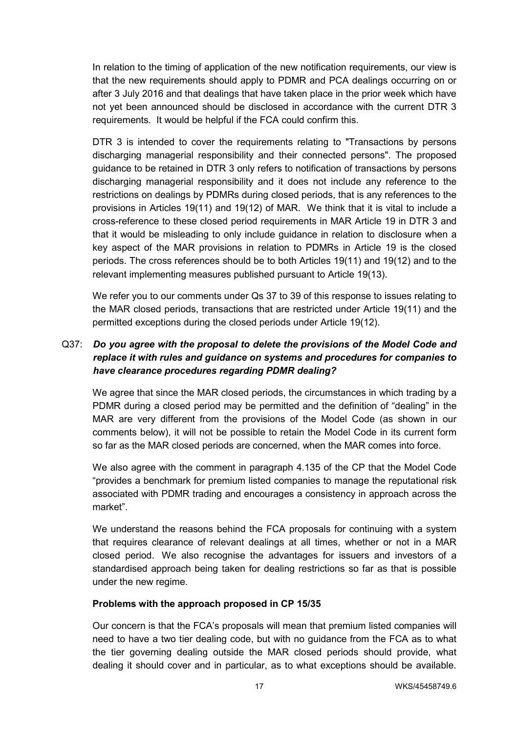In relation to the timing of application of the new notification requirements, our view is that the new requirements should apply to PDMR and PCA dealings occurring on or after 3 July 2016 and that dealings that have taken place in the prior week which have not yet been announced should be disclosed in accordance with the current DTR 3 requirements. It would be helpful if the FCA could confirm this.

DTR 3 is intended to cover the requirements relating to "Transactions by persons discharging managerial responsibility and their connected persons". The proposed guidance to be retained in DTR 3 only refers to notification of transactions by persons discharging managerial responsibility and it does not include any reference to the restrictions on dealings by PDMRs during closed periods, that is any references to the provisions in Articles 19(11) and 19(12) of MAR. We think that it is vital to include a cross-reference to these closed period requirements in MAR Article 19 in DTR 3 and that it would be misleading to only include guidance in relation to disclosure when a key aspect of the MAR provisions in relation to PDMRs in Article 19 is the closed periods. The cross references should be to both Articles 19(11) and 19(12) and to the relevant implementing measures published pursuant to Article 19(13).

We refer you to our comments under Qs 37 to 39 of this response to issues relating to the MAR closed periods, transactions that are restricted under Article 19(11) and the permitted exceptions during the closed periods under Article 19(12).

# Q37: *Do you agree with the proposal to delete the provisions of the Model Code and replace it with rules and guidance on systems and procedures for companies to have clearance procedures regarding PDMR dealing?*

We agree that since the MAR closed periods, the circumstances in which trading by a PDMR during a closed period may be permitted and the definition of "dealing" in the MAR are very different from the provisions of the Model Code (as shown in our comments below), it will not be possible to retain the Model Code in its current form so far as the MAR closed periods are concerned, when the MAR comes into force.

We also agree with the comment in paragraph 4.135 of the CP that the Model Code "provides a benchmark for premium listed companies to manage the reputational risk associated with PDMR trading and encourages a consistency in approach across the market".

We understand the reasons behind the FCA proposals for continuing with a system that requires clearance of relevant dealings at all times, whether or not in a MAR closed period. We also recognise the advantages for issuers and investors of a standardised approach being taken for dealing restrictions so far as that is possible under the new regime.

#### **Problems with the approach proposed in CP 15/35**

Our concern is that the FCA's proposals will mean that premium listed companies will need to have a two tier dealing code, but with no guidance from the FCA as to what the tier governing dealing outside the MAR closed periods should provide, what dealing it should cover and in particular, as to what exceptions should be available.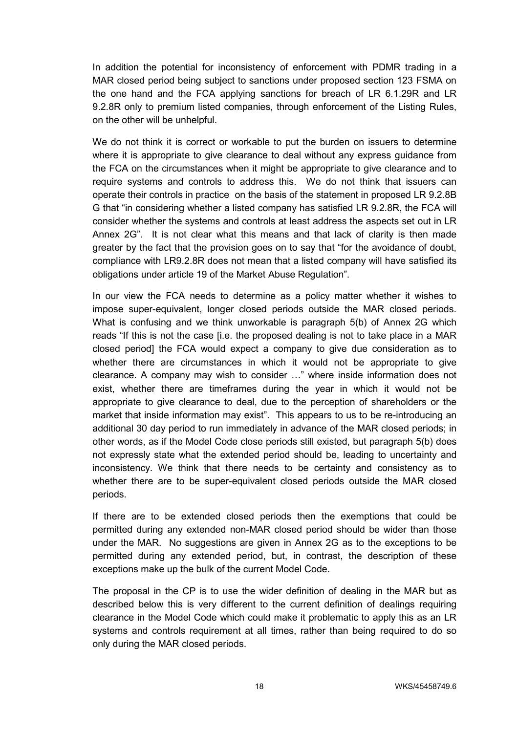In addition the potential for inconsistency of enforcement with PDMR trading in a MAR closed period being subject to sanctions under proposed section 123 FSMA on the one hand and the FCA applying sanctions for breach of LR 6.1.29R and LR 9.2.8R only to premium listed companies, through enforcement of the Listing Rules, on the other will be unhelpful.

We do not think it is correct or workable to put the burden on issuers to determine where it is appropriate to give clearance to deal without any express guidance from the FCA on the circumstances when it might be appropriate to give clearance and to require systems and controls to address this. We do not think that issuers can operate their controls in practice on the basis of the statement in proposed LR 9.2.8B G that "in considering whether a listed company has satisfied LR 9.2.8R, the FCA will consider whether the systems and controls at least address the aspects set out in LR Annex 2G". It is not clear what this means and that lack of clarity is then made greater by the fact that the provision goes on to say that "for the avoidance of doubt, compliance with LR9.2.8R does not mean that a listed company will have satisfied its obligations under article 19 of the Market Abuse Regulation".

In our view the FCA needs to determine as a policy matter whether it wishes to impose super-equivalent, longer closed periods outside the MAR closed periods. What is confusing and we think unworkable is paragraph 5(b) of Annex 2G which reads "If this is not the case [i.e. the proposed dealing is not to take place in a MAR closed period] the FCA would expect a company to give due consideration as to whether there are circumstances in which it would not be appropriate to give clearance. A company may wish to consider …" where inside information does not exist, whether there are timeframes during the year in which it would not be appropriate to give clearance to deal, due to the perception of shareholders or the market that inside information may exist". This appears to us to be re-introducing an additional 30 day period to run immediately in advance of the MAR closed periods; in other words, as if the Model Code close periods still existed, but paragraph 5(b) does not expressly state what the extended period should be, leading to uncertainty and inconsistency. We think that there needs to be certainty and consistency as to whether there are to be super-equivalent closed periods outside the MAR closed periods.

If there are to be extended closed periods then the exemptions that could be permitted during any extended non-MAR closed period should be wider than those under the MAR. No suggestions are given in Annex 2G as to the exceptions to be permitted during any extended period, but, in contrast, the description of these exceptions make up the bulk of the current Model Code.

The proposal in the CP is to use the wider definition of dealing in the MAR but as described below this is very different to the current definition of dealings requiring clearance in the Model Code which could make it problematic to apply this as an LR systems and controls requirement at all times, rather than being required to do so only during the MAR closed periods.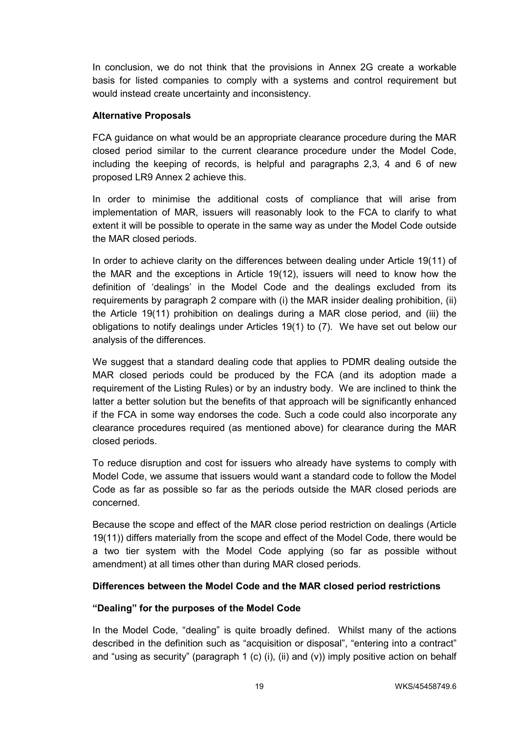In conclusion, we do not think that the provisions in Annex 2G create a workable basis for listed companies to comply with a systems and control requirement but would instead create uncertainty and inconsistency.

#### **Alternative Proposals**

FCA guidance on what would be an appropriate clearance procedure during the MAR closed period similar to the current clearance procedure under the Model Code, including the keeping of records, is helpful and paragraphs 2,3, 4 and 6 of new proposed LR9 Annex 2 achieve this.

In order to minimise the additional costs of compliance that will arise from implementation of MAR, issuers will reasonably look to the FCA to clarify to what extent it will be possible to operate in the same way as under the Model Code outside the MAR closed periods.

In order to achieve clarity on the differences between dealing under Article 19(11) of the MAR and the exceptions in Article 19(12), issuers will need to know how the definition of 'dealings' in the Model Code and the dealings excluded from its requirements by paragraph 2 compare with (i) the MAR insider dealing prohibition, (ii) the Article 19(11) prohibition on dealings during a MAR close period, and (iii) the obligations to notify dealings under Articles 19(1) to (7). We have set out below our analysis of the differences.

We suggest that a standard dealing code that applies to PDMR dealing outside the MAR closed periods could be produced by the FCA (and its adoption made a requirement of the Listing Rules) or by an industry body. We are inclined to think the latter a better solution but the benefits of that approach will be significantly enhanced if the FCA in some way endorses the code. Such a code could also incorporate any clearance procedures required (as mentioned above) for clearance during the MAR closed periods.

To reduce disruption and cost for issuers who already have systems to comply with Model Code, we assume that issuers would want a standard code to follow the Model Code as far as possible so far as the periods outside the MAR closed periods are concerned.

Because the scope and effect of the MAR close period restriction on dealings (Article 19(11)) differs materially from the scope and effect of the Model Code, there would be a two tier system with the Model Code applying (so far as possible without amendment) at all times other than during MAR closed periods.

### **Differences between the Model Code and the MAR closed period restrictions**

### **"Dealing" for the purposes of the Model Code**

In the Model Code, "dealing" is quite broadly defined. Whilst many of the actions described in the definition such as "acquisition or disposal", "entering into a contract" and "using as security" (paragraph 1 (c) (i), (ii) and (v)) imply positive action on behalf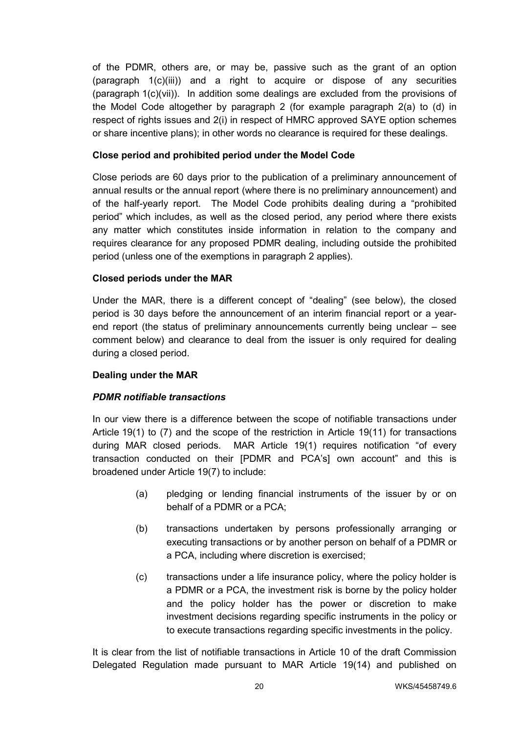of the PDMR, others are, or may be, passive such as the grant of an option (paragraph 1(c)(iii)) and a right to acquire or dispose of any securities (paragraph 1(c)(vii)). In addition some dealings are excluded from the provisions of the Model Code altogether by paragraph 2 (for example paragraph 2(a) to (d) in respect of rights issues and 2(i) in respect of HMRC approved SAYE option schemes or share incentive plans); in other words no clearance is required for these dealings.

#### **Close period and prohibited period under the Model Code**

Close periods are 60 days prior to the publication of a preliminary announcement of annual results or the annual report (where there is no preliminary announcement) and of the half-yearly report. The Model Code prohibits dealing during a "prohibited period" which includes, as well as the closed period, any period where there exists any matter which constitutes inside information in relation to the company and requires clearance for any proposed PDMR dealing, including outside the prohibited period (unless one of the exemptions in paragraph 2 applies).

#### **Closed periods under the MAR**

Under the MAR, there is a different concept of "dealing" (see below), the closed period is 30 days before the announcement of an interim financial report or a yearend report (the status of preliminary announcements currently being unclear – see comment below) and clearance to deal from the issuer is only required for dealing during a closed period.

#### **Dealing under the MAR**

#### *PDMR notifiable transactions*

In our view there is a difference between the scope of notifiable transactions under Article 19(1) to (7) and the scope of the restriction in Article 19(11) for transactions during MAR closed periods. MAR Article 19(1) requires notification "of every transaction conducted on their [PDMR and PCA's] own account" and this is broadened under Article 19(7) to include:

- (a) pledging or lending financial instruments of the issuer by or on behalf of a PDMR or a PCA;
- (b) transactions undertaken by persons professionally arranging or executing transactions or by another person on behalf of a PDMR or a PCA, including where discretion is exercised;
- (c) transactions under a life insurance policy, where the policy holder is a PDMR or a PCA, the investment risk is borne by the policy holder and the policy holder has the power or discretion to make investment decisions regarding specific instruments in the policy or to execute transactions regarding specific investments in the policy.

It is clear from the list of notifiable transactions in Article 10 of the draft Commission Delegated Regulation made pursuant to MAR Article 19(14) and published on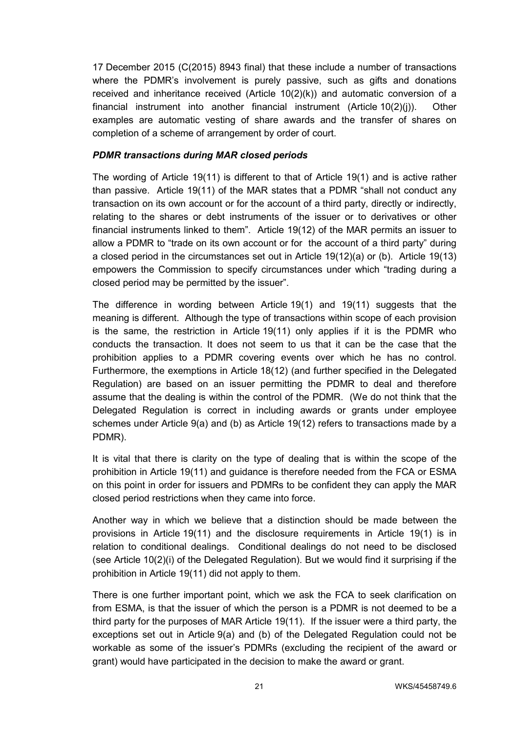17 December 2015 (C(2015) 8943 final) that these include a number of transactions where the PDMR's involvement is purely passive, such as gifts and donations received and inheritance received (Article  $10(2)(k)$ ) and automatic conversion of a financial instrument into another financial instrument (Article 10(2)(j)). Other examples are automatic vesting of share awards and the transfer of shares on completion of a scheme of arrangement by order of court.

#### *PDMR transactions during MAR closed periods*

The wording of Article 19(11) is different to that of Article 19(1) and is active rather than passive. Article 19(11) of the MAR states that a PDMR "shall not conduct any transaction on its own account or for the account of a third party, directly or indirectly, relating to the shares or debt instruments of the issuer or to derivatives or other financial instruments linked to them". Article 19(12) of the MAR permits an issuer to allow a PDMR to "trade on its own account or for the account of a third party" during a closed period in the circumstances set out in Article 19(12)(a) or (b). Article 19(13) empowers the Commission to specify circumstances under which "trading during a closed period may be permitted by the issuer".

The difference in wording between Article 19(1) and 19(11) suggests that the meaning is different. Although the type of transactions within scope of each provision is the same, the restriction in Article 19(11) only applies if it is the PDMR who conducts the transaction. It does not seem to us that it can be the case that the prohibition applies to a PDMR covering events over which he has no control. Furthermore, the exemptions in Article 18(12) (and further specified in the Delegated Regulation) are based on an issuer permitting the PDMR to deal and therefore assume that the dealing is within the control of the PDMR. (We do not think that the Delegated Regulation is correct in including awards or grants under employee schemes under Article 9(a) and (b) as Article 19(12) refers to transactions made by a PDMR).

It is vital that there is clarity on the type of dealing that is within the scope of the prohibition in Article 19(11) and guidance is therefore needed from the FCA or ESMA on this point in order for issuers and PDMRs to be confident they can apply the MAR closed period restrictions when they came into force.

Another way in which we believe that a distinction should be made between the provisions in Article 19(11) and the disclosure requirements in Article 19(1) is in relation to conditional dealings. Conditional dealings do not need to be disclosed (see Article 10(2)(i) of the Delegated Regulation). But we would find it surprising if the prohibition in Article 19(11) did not apply to them.

There is one further important point, which we ask the FCA to seek clarification on from ESMA, is that the issuer of which the person is a PDMR is not deemed to be a third party for the purposes of MAR Article 19(11). If the issuer were a third party, the exceptions set out in Article 9(a) and (b) of the Delegated Regulation could not be workable as some of the issuer's PDMRs (excluding the recipient of the award or grant) would have participated in the decision to make the award or grant.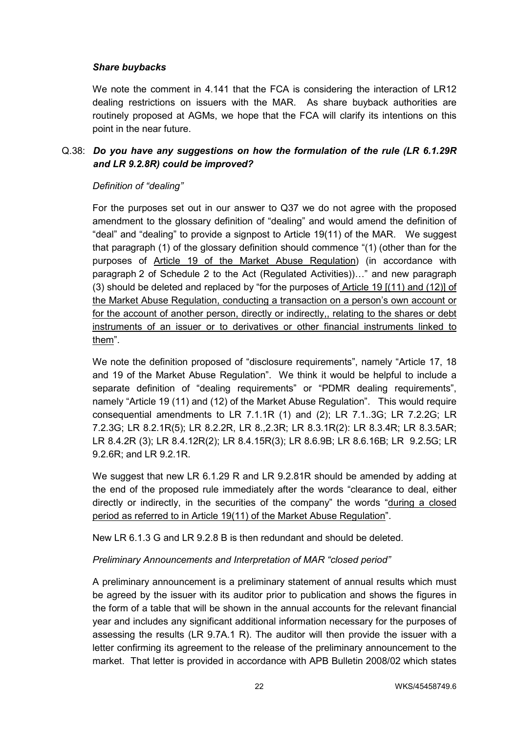#### *Share buybacks*

We note the comment in 4.141 that the FCA is considering the interaction of LR12 dealing restrictions on issuers with the MAR. As share buyback authorities are routinely proposed at AGMs, we hope that the FCA will clarify its intentions on this point in the near future.

### Q.38: *Do you have any suggestions on how the formulation of the rule (LR 6.1.29R and LR 9.2.8R) could be improved?*

#### *Definition of "dealing"*

For the purposes set out in our answer to Q37 we do not agree with the proposed amendment to the glossary definition of "dealing" and would amend the definition of "deal" and "dealing" to provide a signpost to Article 19(11) of the MAR. We suggest that paragraph (1) of the glossary definition should commence "(1) (other than for the purposes of Article 19 of the Market Abuse Regulation) (in accordance with paragraph 2 of Schedule 2 to the Act (Regulated Activities))…" and new paragraph (3) should be deleted and replaced by "for the purposes of Article 19 [(11) and (12)] of the Market Abuse Regulation, conducting a transaction on a person's own account or for the account of another person, directly or indirectly,, relating to the shares or debt instruments of an issuer or to derivatives or other financial instruments linked to them".

We note the definition proposed of "disclosure requirements", namely "Article 17, 18 and 19 of the Market Abuse Regulation". We think it would be helpful to include a separate definition of "dealing requirements" or "PDMR dealing requirements", namely "Article 19 (11) and (12) of the Market Abuse Regulation". This would require consequential amendments to LR 7.1.1R (1) and (2); LR 7.1..3G; LR 7.2.2G; LR 7.2.3G; LR 8.2.1R(5); LR 8.2.2R, LR 8.,2.3R; LR 8.3.1R(2): LR 8.3.4R; LR 8.3.5AR; LR 8.4.2R (3); LR 8.4.12R(2); LR 8.4.15R(3); LR 8.6.9B; LR 8.6.16B; LR 9.2.5G; LR 9.2.6R; and LR 9.2.1R.

We suggest that new LR 6.1.29 R and LR 9.2.81R should be amended by adding at the end of the proposed rule immediately after the words "clearance to deal, either directly or indirectly, in the securities of the company" the words "during a closed period as referred to in Article 19(11) of the Market Abuse Regulation".

New LR 6.1.3 G and LR 9.2.8 B is then redundant and should be deleted.

#### *Preliminary Announcements and Interpretation of MAR "closed period"*

A preliminary announcement is a preliminary statement of annual results which must be agreed by the issuer with its auditor prior to publication and shows the figures in the form of a table that will be shown in the annual accounts for the relevant financial year and includes any significant additional information necessary for the purposes of assessing the results (LR 9.7A.1 R). The auditor will then provide the issuer with a letter confirming its agreement to the release of the preliminary announcement to the market. That letter is provided in accordance with APB Bulletin 2008/02 which states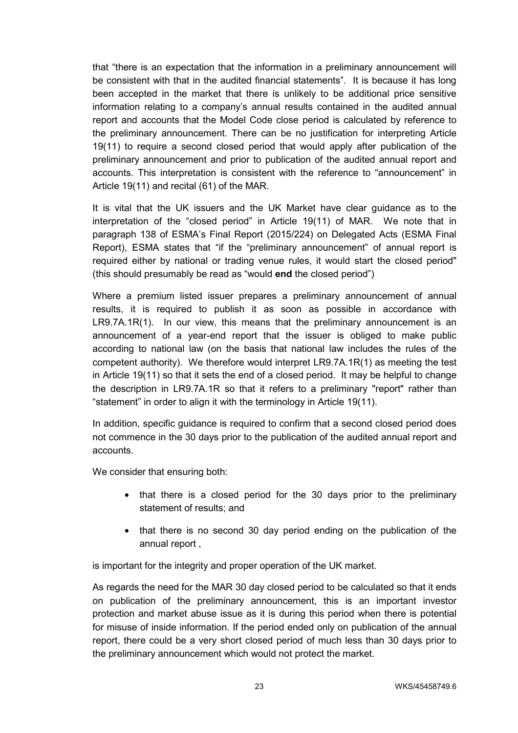that "there is an expectation that the information in a preliminary announcement will be consistent with that in the audited financial statements". It is because it has long been accepted in the market that there is unlikely to be additional price sensitive information relating to a company's annual results contained in the audited annual report and accounts that the Model Code close period is calculated by reference to the preliminary announcement. There can be no justification for interpreting Article 19(11) to require a second closed period that would apply after publication of the preliminary announcement and prior to publication of the audited annual report and accounts. This interpretation is consistent with the reference to "announcement" in Article 19(11) and recital (61) of the MAR.

It is vital that the UK issuers and the UK Market have clear guidance as to the interpretation of the "closed period" in Article 19(11) of MAR. We note that in paragraph 138 of ESMA's Final Report (2015/224) on Delegated Acts (ESMA Final Report), ESMA states that "if the "preliminary announcement" of annual report is required either by national or trading venue rules, it would start the closed period" (this should presumably be read as "would **end** the closed period")

Where a premium listed issuer prepares a preliminary announcement of annual results, it is required to publish it as soon as possible in accordance with LR9.7A.1R(1). In our view, this means that the preliminary announcement is an announcement of a year-end report that the issuer is obliged to make public according to national law (on the basis that national law includes the rules of the competent authority). We therefore would interpret LR9.7A.1R(1) as meeting the test in Article 19(11) so that it sets the end of a closed period. It may be helpful to change the description in LR9.7A.1R so that it refers to a preliminary "report" rather than "statement" in order to align it with the terminology in Article 19(11).

In addition, specific guidance is required to confirm that a second closed period does not commence in the 30 days prior to the publication of the audited annual report and accounts.

We consider that ensuring both:

- that there is a closed period for the 30 days prior to the preliminary statement of results; and
- that there is no second 30 day period ending on the publication of the annual report ,

is important for the integrity and proper operation of the UK market.

As regards the need for the MAR 30 day closed period to be calculated so that it ends on publication of the preliminary announcement, this is an important investor protection and market abuse issue as it is during this period when there is potential for misuse of inside information. If the period ended only on publication of the annual report, there could be a very short closed period of much less than 30 days prior to the preliminary announcement which would not protect the market.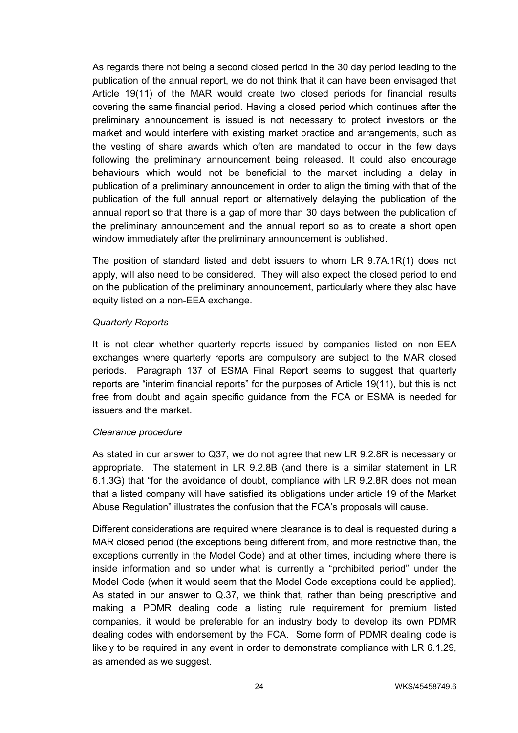As regards there not being a second closed period in the 30 day period leading to the publication of the annual report, we do not think that it can have been envisaged that Article 19(11) of the MAR would create two closed periods for financial results covering the same financial period. Having a closed period which continues after the preliminary announcement is issued is not necessary to protect investors or the market and would interfere with existing market practice and arrangements, such as the vesting of share awards which often are mandated to occur in the few days following the preliminary announcement being released. It could also encourage behaviours which would not be beneficial to the market including a delay in publication of a preliminary announcement in order to align the timing with that of the publication of the full annual report or alternatively delaying the publication of the annual report so that there is a gap of more than 30 days between the publication of the preliminary announcement and the annual report so as to create a short open window immediately after the preliminary announcement is published.

The position of standard listed and debt issuers to whom LR 9.7A.1R(1) does not apply, will also need to be considered. They will also expect the closed period to end on the publication of the preliminary announcement, particularly where they also have equity listed on a non-EEA exchange.

#### *Quarterly Reports*

It is not clear whether quarterly reports issued by companies listed on non-EEA exchanges where quarterly reports are compulsory are subject to the MAR closed periods. Paragraph 137 of ESMA Final Report seems to suggest that quarterly reports are "interim financial reports" for the purposes of Article 19(11), but this is not free from doubt and again specific guidance from the FCA or ESMA is needed for issuers and the market.

### *Clearance procedure*

As stated in our answer to Q37, we do not agree that new LR 9.2.8R is necessary or appropriate. The statement in LR 9.2.8B (and there is a similar statement in LR 6.1.3G) that "for the avoidance of doubt, compliance with LR 9.2.8R does not mean that a listed company will have satisfied its obligations under article 19 of the Market Abuse Regulation" illustrates the confusion that the FCA's proposals will cause.

Different considerations are required where clearance is to deal is requested during a MAR closed period (the exceptions being different from, and more restrictive than, the exceptions currently in the Model Code) and at other times, including where there is inside information and so under what is currently a "prohibited period" under the Model Code (when it would seem that the Model Code exceptions could be applied). As stated in our answer to Q.37, we think that, rather than being prescriptive and making a PDMR dealing code a listing rule requirement for premium listed companies, it would be preferable for an industry body to develop its own PDMR dealing codes with endorsement by the FCA. Some form of PDMR dealing code is likely to be required in any event in order to demonstrate compliance with LR 6.1.29, as amended as we suggest.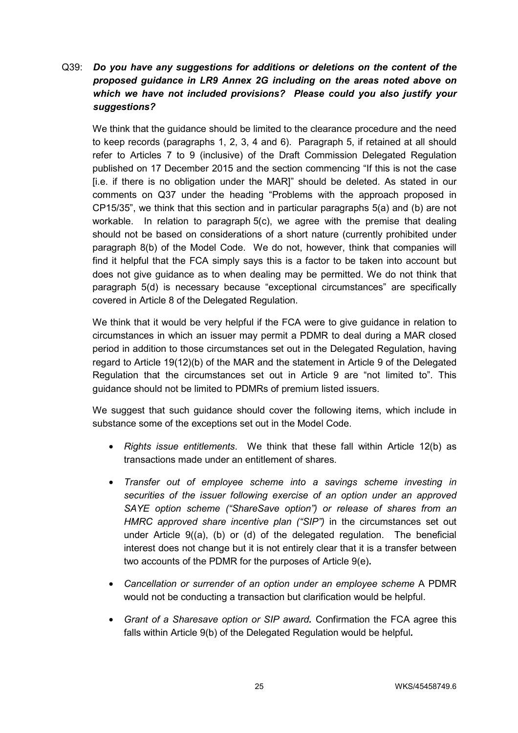# Q39: *Do you have any suggestions for additions or deletions on the content of the proposed guidance in LR9 Annex 2G including on the areas noted above on which we have not included provisions? Please could you also justify your suggestions?*

We think that the guidance should be limited to the clearance procedure and the need to keep records (paragraphs 1, 2, 3, 4 and 6). Paragraph 5, if retained at all should refer to Articles 7 to 9 (inclusive) of the Draft Commission Delegated Regulation published on 17 December 2015 and the section commencing "If this is not the case [i.e. if there is no obligation under the MAR]" should be deleted. As stated in our comments on Q37 under the heading "Problems with the approach proposed in CP15/35", we think that this section and in particular paragraphs 5(a) and (b) are not workable. In relation to paragraph 5(c), we agree with the premise that dealing should not be based on considerations of a short nature (currently prohibited under paragraph 8(b) of the Model Code. We do not, however, think that companies will find it helpful that the FCA simply says this is a factor to be taken into account but does not give guidance as to when dealing may be permitted. We do not think that paragraph 5(d) is necessary because "exceptional circumstances" are specifically covered in Article 8 of the Delegated Regulation.

We think that it would be very helpful if the FCA were to give guidance in relation to circumstances in which an issuer may permit a PDMR to deal during a MAR closed period in addition to those circumstances set out in the Delegated Regulation, having regard to Article 19(12)(b) of the MAR and the statement in Article 9 of the Delegated Regulation that the circumstances set out in Article 9 are "not limited to". This guidance should not be limited to PDMRs of premium listed issuers.

We suggest that such guidance should cover the following items, which include in substance some of the exceptions set out in the Model Code.

- *Rights issue entitlements*. We think that these fall within Article 12(b) as transactions made under an entitlement of shares.
- *Transfer out of employee scheme into a savings scheme investing in securities of the issuer following exercise of an option under an approved SAYE option scheme ("ShareSave option") or release of shares from an HMRC approved share incentive plan ("SIP")* in the circumstances set out under Article 9((a), (b) or (d) of the delegated regulation. The beneficial interest does not change but it is not entirely clear that it is a transfer between two accounts of the PDMR for the purposes of Article 9(e)**.**
- *Cancellation or surrender of an option under an employee scheme* A PDMR would not be conducting a transaction but clarification would be helpful.
- *Grant of a Sharesave option or SIP award.* Confirmation the FCA agree this falls within Article 9(b) of the Delegated Regulation would be helpful*.*